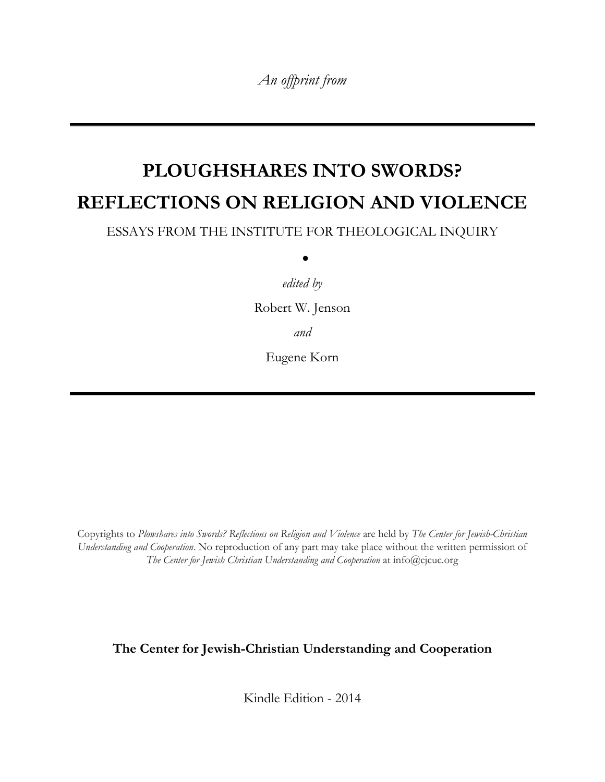*An offprint from*

# **PLOUGHSHARES INTO SWORDS? REFLECTIONS ON RELIGION AND VIOLENCE**

ESSAYS FROM THE INSTITUTE FOR THEOLOGICAL INQUIRY

 $\bullet$ 

*edited by* 

Robert W. Jenson

*and*

Eugene Korn

Copyrights to *Plowshares into Swords? Reflections on Religion and Violence* are held by *The Center for Jewish-Christian Understanding and Cooperation*. No reproduction of any part may take place without the written permission of *The Center for Jewish Christian Understanding and Cooperation* at info@cjcuc.org

### **The Center for Jewish-Christian Understanding and Cooperation**

Kindle Edition - 2014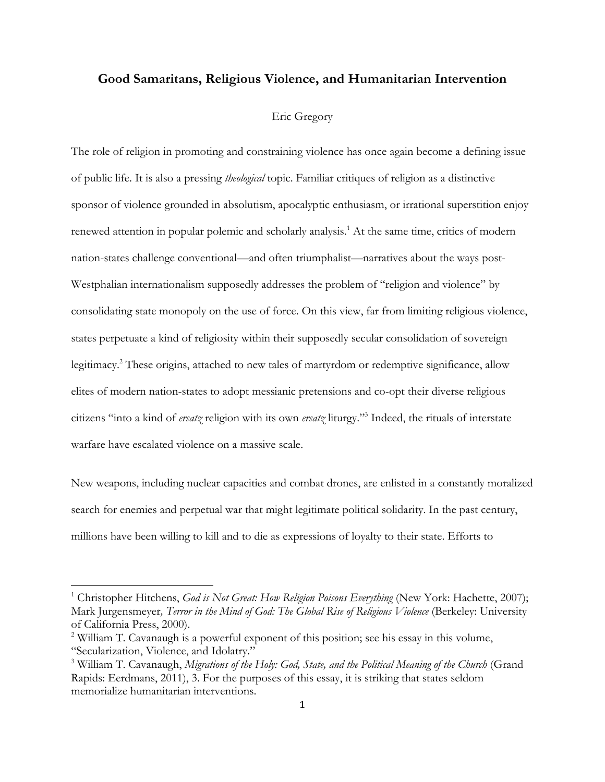#### **Good Samaritans, Religious Violence, and Humanitarian Intervention**

#### Eric Gregory

The role of religion in promoting and constraining violence has once again become a defining issue of public life. It is also a pressing *theological* topic. Familiar critiques of religion as a distinctive sponsor of violence grounded in absolutism, apocalyptic enthusiasm, or irrational superstition enjoy renewed attention in popular polemic and scholarly analysis.<sup>1</sup> At the same time, critics of modern nation-states challenge conventional—and often triumphalist—narratives about the ways post-Westphalian internationalism supposedly addresses the problem of "religion and violence" by consolidating state monopoly on the use of force. On this view, far from limiting religious violence, states perpetuate a kind of religiosity within their supposedly secular consolidation of sovereign legitimacy.<sup>2</sup> These origins, attached to new tales of martyrdom or redemptive significance, allow elites of modern nation-states to adopt messianic pretensions and co-opt their diverse religious citizens "into a kind of *ersatz* religion with its own *ersatz* liturgy."<sup>3</sup> Indeed, the rituals of interstate warfare have escalated violence on a massive scale.

New weapons, including nuclear capacities and combat drones, are enlisted in a constantly moralized search for enemies and perpetual war that might legitimate political solidarity. In the past century, millions have been willing to kill and to die as expressions of loyalty to their state. Efforts to

<sup>&</sup>lt;sup>1</sup> Christopher Hitchens, *God is Not Great: How Religion Poisons Everything* (New York: Hachette, 2007); Mark Jurgensmeyer*, Terror in the Mind of God: The Global Rise of Religious Violence* (Berkeley: University of California Press, 2000).

<sup>&</sup>lt;sup>2</sup> William T. Cavanaugh is a powerful exponent of this position; see his essay in this volume, "Secularization, Violence, and Idolatry."

<sup>3</sup> William T. Cavanaugh, *Migrations of the Holy: God, State, and the Political Meaning of the Church* (Grand Rapids: Eerdmans, 2011), 3. For the purposes of this essay, it is striking that states seldom memorialize humanitarian interventions.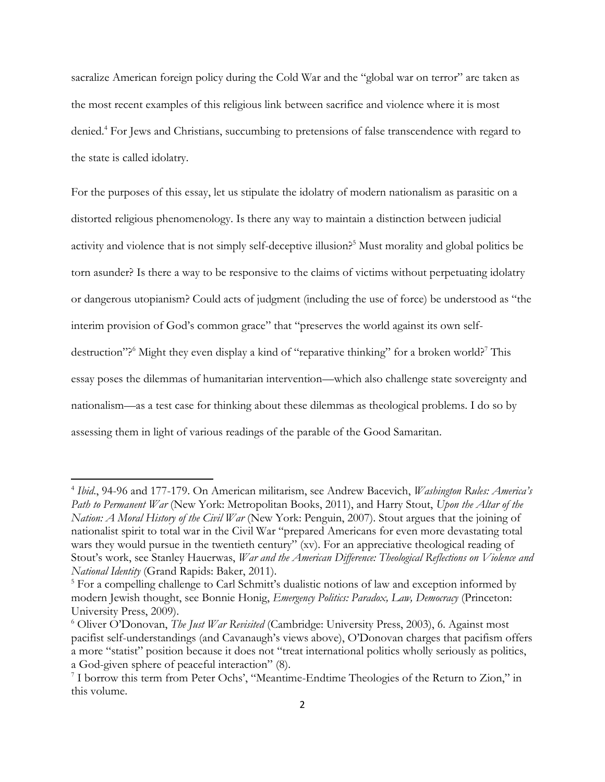sacralize American foreign policy during the Cold War and the "global war on terror" are taken as the most recent examples of this religious link between sacrifice and violence where it is most denied.<sup>4</sup> For Jews and Christians, succumbing to pretensions of false transcendence with regard to the state is called idolatry.

For the purposes of this essay, let us stipulate the idolatry of modern nationalism as parasitic on a distorted religious phenomenology. Is there any way to maintain a distinction between judicial activity and violence that is not simply self-deceptive illusion?<sup>5</sup> Must morality and global politics be torn asunder? Is there a way to be responsive to the claims of victims without perpetuating idolatry or dangerous utopianism? Could acts of judgment (including the use of force) be understood as "the interim provision of God's common grace" that "preserves the world against its own selfdestruction"?<sup>6</sup> Might they even display a kind of "reparative thinking" for a broken world?<sup>7</sup> This essay poses the dilemmas of humanitarian intervention—which also challenge state sovereignty and nationalism—as a test case for thinking about these dilemmas as theological problems. I do so by assessing them in light of various readings of the parable of the Good Samaritan.

<sup>4</sup> *Ibid*., 94-96 and 177-179. On American militarism, see Andrew Bacevich, *Washington Rules: America's Path to Permanent War* (New York: Metropolitan Books, 2011), and Harry Stout, *Upon the Altar of the Nation: A Moral History of the Civil War* (New York: Penguin, 2007). Stout argues that the joining of nationalist spirit to total war in the Civil War "prepared Americans for even more devastating total wars they would pursue in the twentieth century" (xv). For an appreciative theological reading of Stout's work, see Stanley Hauerwas, *War and the American Difference: Theological Reflections on Violence and National Identity* (Grand Rapids: Baker, 2011).

<sup>&</sup>lt;sup>5</sup> For a compelling challenge to Carl Schmitt's dualistic notions of law and exception informed by modern Jewish thought, see Bonnie Honig, *Emergency Politics: Paradox, Law, Democracy* (Princeton: University Press, 2009).

<sup>6</sup> Oliver O'Donovan, *The Just War Revisited* (Cambridge: University Press, 2003), 6. Against most pacifist self-understandings (and Cavanaugh's views above), O'Donovan charges that pacifism offers a more "statist" position because it does not "treat international politics wholly seriously as politics, a God-given sphere of peaceful interaction" (8).

<sup>&</sup>lt;sup>7</sup> I borrow this term from Peter Ochs', "Meantime-Endtime Theologies of the Return to Zion," in this volume.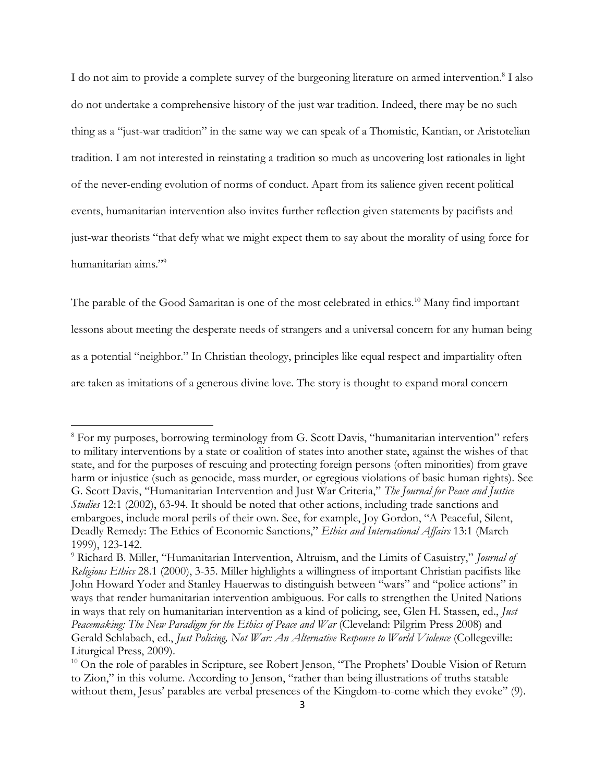I do not aim to provide a complete survey of the burgeoning literature on armed intervention.<sup>8</sup> I also do not undertake a comprehensive history of the just war tradition. Indeed, there may be no such thing as a "just-war tradition" in the same way we can speak of a Thomistic, Kantian, or Aristotelian tradition. I am not interested in reinstating a tradition so much as uncovering lost rationales in light of the never-ending evolution of norms of conduct. Apart from its salience given recent political events, humanitarian intervention also invites further reflection given statements by pacifists and just-war theorists "that defy what we might expect them to say about the morality of using force for humanitarian aims."<sup>9</sup>

The parable of the Good Samaritan is one of the most celebrated in ethics.<sup>10</sup> Many find important lessons about meeting the desperate needs of strangers and a universal concern for any human being as a potential "neighbor." In Christian theology, principles like equal respect and impartiality often are taken as imitations of a generous divine love. The story is thought to expand moral concern

<sup>&</sup>lt;sup>8</sup> For my purposes, borrowing terminology from G. Scott Davis, "humanitarian intervention" refers to military interventions by a state or coalition of states into another state, against the wishes of that state, and for the purposes of rescuing and protecting foreign persons (often minorities) from grave harm or injustice (such as genocide, mass murder, or egregious violations of basic human rights). See G. Scott Davis, "Humanitarian Intervention and Just War Criteria," *The Journal for Peace and Justice Studies* 12:1 (2002), 63-94. It should be noted that other actions, including trade sanctions and embargoes, include moral perils of their own. See, for example, Joy Gordon, "A Peaceful, Silent, Deadly Remedy: The Ethics of Economic Sanctions," *Ethics and International Affairs* 13:1 (March 1999), 123-142.

<sup>9</sup> Richard B. Miller, "Humanitarian Intervention, Altruism, and the Limits of Casuistry," *Journal of Religious Ethics* 28.1 (2000), 3-35. Miller highlights a willingness of important Christian pacifists like John Howard Yoder and Stanley Hauerwas to distinguish between "wars" and "police actions" in ways that render humanitarian intervention ambiguous. For calls to strengthen the United Nations in ways that rely on humanitarian intervention as a kind of policing, see, Glen H. Stassen, ed., *Just Peacemaking: The New Paradigm for the Ethics of Peace and War* (Cleveland: Pilgrim Press 2008) and Gerald Schlabach, ed., *Just Policing, Not War: An Alternative Response to World Violence* (Collegeville: Liturgical Press, 2009).

<sup>&</sup>lt;sup>10</sup> On the role of parables in Scripture, see Robert Jenson, "The Prophets' Double Vision of Return to Zion," in this volume. According to Jenson, "rather than being illustrations of truths statable without them, Jesus' parables are verbal presences of the Kingdom-to-come which they evoke" (9).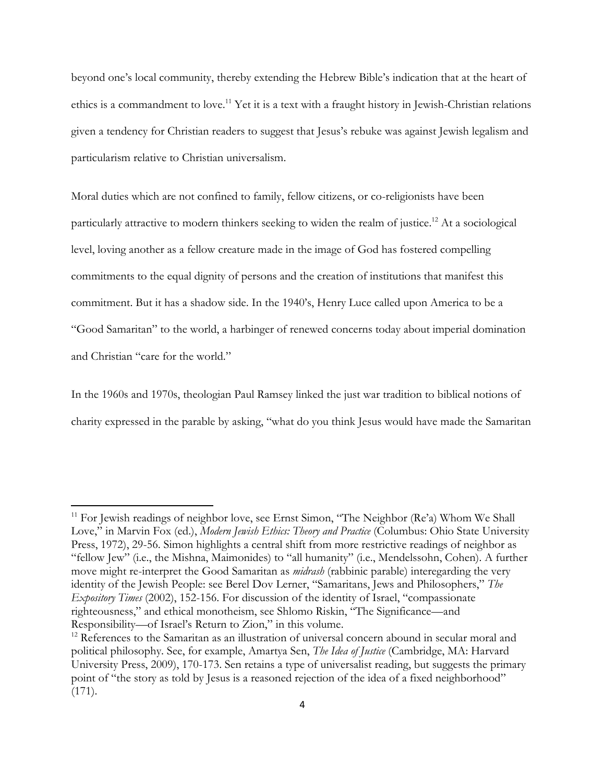beyond one's local community, thereby extending the Hebrew Bible's indication that at the heart of ethics is a commandment to love.<sup>11</sup> Yet it is a text with a fraught history in Jewish-Christian relations given a tendency for Christian readers to suggest that Jesus's rebuke was against Jewish legalism and particularism relative to Christian universalism.

Moral duties which are not confined to family, fellow citizens, or co-religionists have been particularly attractive to modern thinkers seeking to widen the realm of justice.<sup>12</sup> At a sociological level, loving another as a fellow creature made in the image of God has fostered compelling commitments to the equal dignity of persons and the creation of institutions that manifest this commitment. But it has a shadow side. In the 1940's, Henry Luce called upon America to be a "Good Samaritan" to the world, a harbinger of renewed concerns today about imperial domination and Christian "care for the world."

In the 1960s and 1970s, theologian Paul Ramsey linked the just war tradition to biblical notions of charity expressed in the parable by asking, "what do you think Jesus would have made the Samaritan

 $11$  For Jewish readings of neighbor love, see Ernst Simon, "The Neighbor (Re'a) Whom We Shall Love," in Marvin Fox (ed.), *Modern Jewish Ethics: Theory and Practice* (Columbus: Ohio State University Press, 1972), 29-56. Simon highlights a central shift from more restrictive readings of neighbor as "fellow Jew" (i.e., the Mishna, Maimonides) to "all humanity" (i.e., Mendelssohn, Cohen). A further move might re-interpret the Good Samaritan as *midrash* (rabbinic parable) interegarding the very identity of the Jewish People: see Berel Dov Lerner, "Samaritans, Jews and Philosophers," *The Expository Times* (2002), 152-156. For discussion of the identity of Israel, "compassionate righteousness," and ethical monotheism, see Shlomo Riskin, "The Significance—and Responsibility—of Israel's Return to Zion," in this volume.

 $12$  References to the Samaritan as an illustration of universal concern abound in secular moral and political philosophy. See, for example, Amartya Sen, *The Idea of Justice* (Cambridge, MA: Harvard University Press, 2009), 170-173. Sen retains a type of universalist reading, but suggests the primary point of "the story as told by Jesus is a reasoned rejection of the idea of a fixed neighborhood" (171).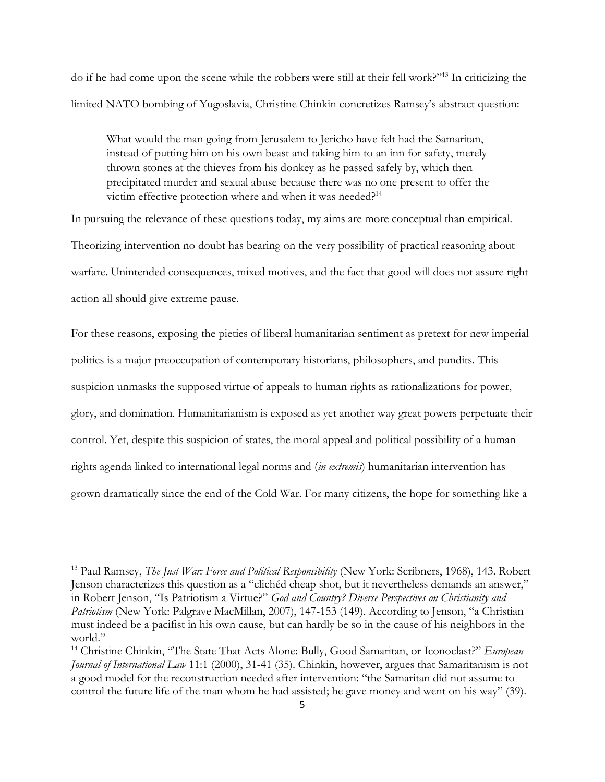do if he had come upon the scene while the robbers were still at their fell work?"<sup>13</sup> In criticizing the limited NATO bombing of Yugoslavia, Christine Chinkin concretizes Ramsey's abstract question:

What would the man going from Jerusalem to Jericho have felt had the Samaritan, instead of putting him on his own beast and taking him to an inn for safety, merely thrown stones at the thieves from his donkey as he passed safely by, which then precipitated murder and sexual abuse because there was no one present to offer the victim effective protection where and when it was needed?<sup>14</sup>

In pursuing the relevance of these questions today, my aims are more conceptual than empirical. Theorizing intervention no doubt has bearing on the very possibility of practical reasoning about warfare. Unintended consequences, mixed motives, and the fact that good will does not assure right action all should give extreme pause.

For these reasons, exposing the pieties of liberal humanitarian sentiment as pretext for new imperial politics is a major preoccupation of contemporary historians, philosophers, and pundits. This suspicion unmasks the supposed virtue of appeals to human rights as rationalizations for power, glory, and domination. Humanitarianism is exposed as yet another way great powers perpetuate their control. Yet, despite this suspicion of states, the moral appeal and political possibility of a human rights agenda linked to international legal norms and (*in extremis*) humanitarian intervention has grown dramatically since the end of the Cold War. For many citizens, the hope for something like a

<sup>13</sup> Paul Ramsey, *The Just War: Force and Political Responsibility* (New York: Scribners, 1968), 143. Robert Jenson characterizes this question as a "clichéd cheap shot, but it nevertheless demands an answer," in Robert Jenson, "Is Patriotism a Virtue?" *God and Country? Diverse Perspectives on Christianity and Patriotism* (New York: Palgrave MacMillan, 2007), 147-153 (149). According to Jenson, "a Christian must indeed be a pacifist in his own cause, but can hardly be so in the cause of his neighbors in the world."

<sup>&</sup>lt;sup>14</sup> Christine Chinkin, "The State That Acts Alone: Bully, Good Samaritan, or Iconoclast?" *European Journal of International Law* 11:1 (2000), 31-41 (35). Chinkin, however, argues that Samaritanism is not a good model for the reconstruction needed after intervention: "the Samaritan did not assume to control the future life of the man whom he had assisted; he gave money and went on his way" (39).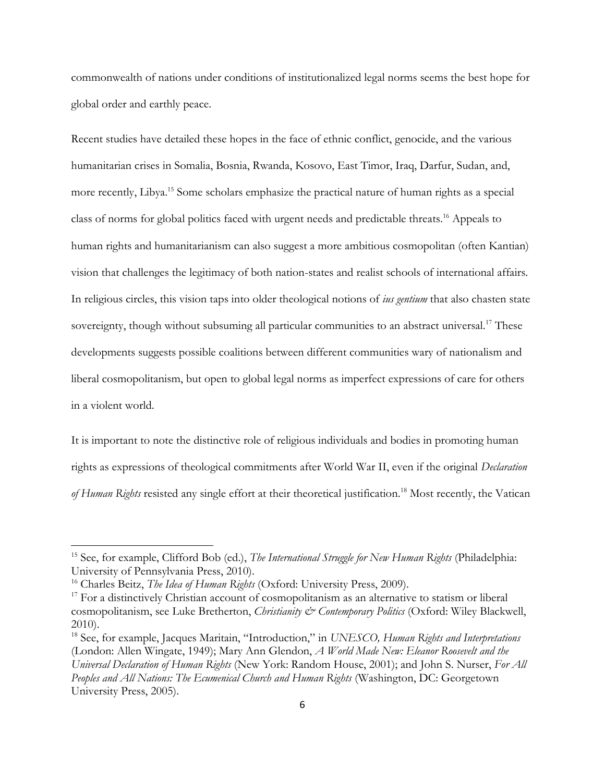commonwealth of nations under conditions of institutionalized legal norms seems the best hope for global order and earthly peace.

Recent studies have detailed these hopes in the face of ethnic conflict, genocide, and the various humanitarian crises in Somalia, Bosnia, Rwanda, Kosovo, East Timor, Iraq, Darfur, Sudan, and, more recently, Libya.<sup>15</sup> Some scholars emphasize the practical nature of human rights as a special class of norms for global politics faced with urgent needs and predictable threats.<sup>16</sup> Appeals to human rights and humanitarianism can also suggest a more ambitious cosmopolitan (often Kantian) vision that challenges the legitimacy of both nation-states and realist schools of international affairs. In religious circles, this vision taps into older theological notions of *ius gentium* that also chasten state sovereignty, though without subsuming all particular communities to an abstract universal.<sup>17</sup> These developments suggests possible coalitions between different communities wary of nationalism and liberal cosmopolitanism, but open to global legal norms as imperfect expressions of care for others in a violent world.

It is important to note the distinctive role of religious individuals and bodies in promoting human rights as expressions of theological commitments after World War II, even if the original *Declaration of Human Rights* resisted any single effort at their theoretical justification.<sup>18</sup> Most recently, the Vatican

<sup>15</sup> See, for example, Clifford Bob (ed.), *The International Struggle for New Human Rights* (Philadelphia: University of Pennsylvania Press, 2010).

<sup>&</sup>lt;sup>16</sup> Charles Beitz, *The Idea of Human Rights* (Oxford: University Press, 2009).

<sup>&</sup>lt;sup>17</sup> For a distinctively Christian account of cosmopolitanism as an alternative to statism or liberal cosmopolitanism, see Luke Bretherton, *Christianity & Contemporary Politics* (Oxford: Wiley Blackwell, 2010).

<sup>18</sup> See, for example, Jacques Maritain, "Introduction," in *UNESCO, Human Rights and Interpretations* (London: Allen Wingate, 1949); Mary Ann Glendon, *A World Made New: Eleanor Roosevelt and the Universal Declaration of Human Rights* (New York: Random House, 2001); and John S. Nurser, *For All Peoples and All Nations: The Ecumenical Church and Human Rights* (Washington, DC: Georgetown University Press, 2005).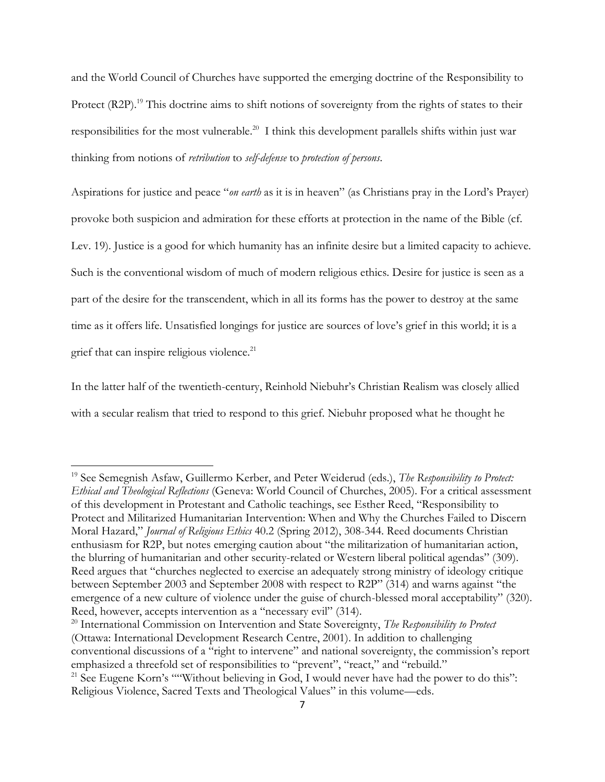and the World Council of Churches have supported the emerging doctrine of the Responsibility to Protect (R2P).<sup>19</sup> This doctrine aims to shift notions of sovereignty from the rights of states to their responsibilities for the most vulnerable.<sup>20</sup> I think this development parallels shifts within just war thinking from notions of *retribution* to *self-defense* to *protection of persons*.

Aspirations for justice and peace "*on earth* as it is in heaven" (as Christians pray in the Lord's Prayer) provoke both suspicion and admiration for these efforts at protection in the name of the Bible (cf. Lev. 19). Justice is a good for which humanity has an infinite desire but a limited capacity to achieve. Such is the conventional wisdom of much of modern religious ethics. Desire for justice is seen as a part of the desire for the transcendent, which in all its forms has the power to destroy at the same time as it offers life. Unsatisfied longings for justice are sources of love's grief in this world; it is a grief that can inspire religious violence.<sup>21</sup>

In the latter half of the twentieth-century, Reinhold Niebuhr's Christian Realism was closely allied with a secular realism that tried to respond to this grief. Niebuhr proposed what he thought he

 $\overline{\phantom{a}}$ 

<sup>20</sup> International Commission on Intervention and State Sovereignty, *The Responsibility to Protect* (Ottawa: International Development Research Centre, 2001). In addition to challenging conventional discussions of a "right to intervene" and national sovereignty, the commission's report emphasized a threefold set of responsibilities to "prevent", "react," and "rebuild."

<sup>19</sup> See Semegnish Asfaw, Guillermo Kerber, and Peter Weiderud (eds.), *The Responsibility to Protect: Ethical and Theological Reflections* (Geneva: World Council of Churches, 2005). For a critical assessment of this development in Protestant and Catholic teachings, see Esther Reed, "Responsibility to Protect and Militarized Humanitarian Intervention: When and Why the Churches Failed to Discern Moral Hazard," *Journal of Religious Ethics* 40.2 (Spring 2012), 308-344. Reed documents Christian enthusiasm for R2P, but notes emerging caution about "the militarization of humanitarian action, the blurring of humanitarian and other security-related or Western liberal political agendas" (309). Reed argues that "churches neglected to exercise an adequately strong ministry of ideology critique between September 2003 and September 2008 with respect to R2P" (314) and warns against "the emergence of a new culture of violence under the guise of church-blessed moral acceptability" (320). Reed, however, accepts intervention as a "necessary evil" (314).

<sup>&</sup>lt;sup>21</sup> See Eugene Korn's ""Without believing in God, I would never have had the power to do this": Religious Violence, Sacred Texts and Theological Values" in this volume—eds.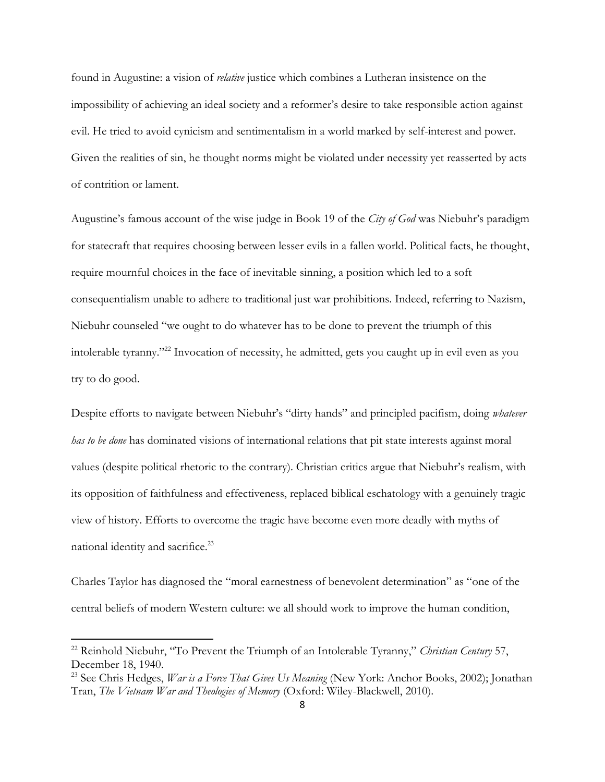found in Augustine: a vision of *relative* justice which combines a Lutheran insistence on the impossibility of achieving an ideal society and a reformer's desire to take responsible action against evil. He tried to avoid cynicism and sentimentalism in a world marked by self-interest and power. Given the realities of sin, he thought norms might be violated under necessity yet reasserted by acts of contrition or lament.

Augustine's famous account of the wise judge in Book 19 of the *City of God* was Niebuhr's paradigm for statecraft that requires choosing between lesser evils in a fallen world. Political facts, he thought, require mournful choices in the face of inevitable sinning, a position which led to a soft consequentialism unable to adhere to traditional just war prohibitions. Indeed, referring to Nazism, Niebuhr counseled "we ought to do whatever has to be done to prevent the triumph of this intolerable tyranny."<sup>22</sup> Invocation of necessity, he admitted, gets you caught up in evil even as you try to do good.

Despite efforts to navigate between Niebuhr's "dirty hands" and principled pacifism, doing *whatever has to be done* has dominated visions of international relations that pit state interests against moral values (despite political rhetoric to the contrary). Christian critics argue that Niebuhr's realism, with its opposition of faithfulness and effectiveness, replaced biblical eschatology with a genuinely tragic view of history. Efforts to overcome the tragic have become even more deadly with myths of national identity and sacrifice.<sup>23</sup>

Charles Taylor has diagnosed the "moral earnestness of benevolent determination" as "one of the central beliefs of modern Western culture: we all should work to improve the human condition,

<sup>22</sup> Reinhold Niebuhr, "To Prevent the Triumph of an Intolerable Tyranny," *Christian Century* 57, December 18, 1940.

<sup>23</sup> See Chris Hedges, *War is a Force That Gives Us Meaning* (New York: Anchor Books, 2002); Jonathan Tran, *The Vietnam War and Theologies of Memory* (Oxford: Wiley-Blackwell, 2010).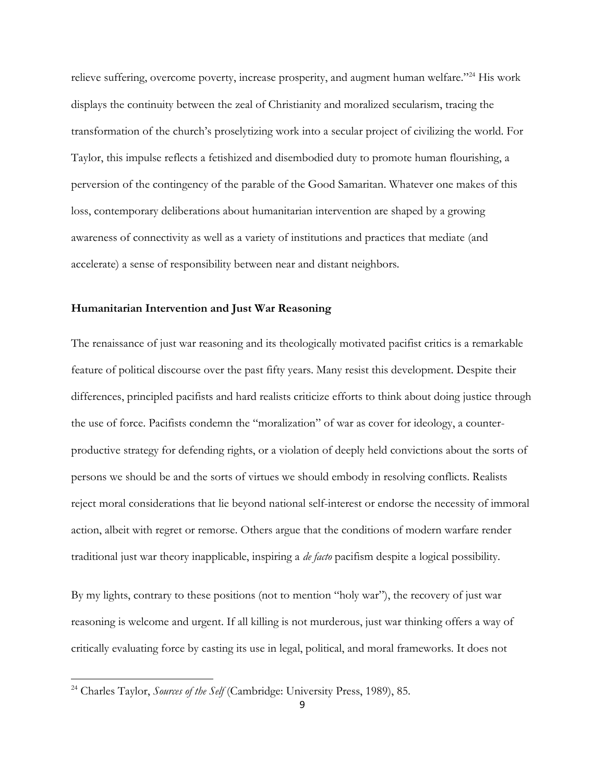relieve suffering, overcome poverty, increase prosperity, and augment human welfare."<sup>24</sup> His work displays the continuity between the zeal of Christianity and moralized secularism, tracing the transformation of the church's proselytizing work into a secular project of civilizing the world. For Taylor, this impulse reflects a fetishized and disembodied duty to promote human flourishing, a perversion of the contingency of the parable of the Good Samaritan. Whatever one makes of this loss, contemporary deliberations about humanitarian intervention are shaped by a growing awareness of connectivity as well as a variety of institutions and practices that mediate (and accelerate) a sense of responsibility between near and distant neighbors.

#### **Humanitarian Intervention and Just War Reasoning**

The renaissance of just war reasoning and its theologically motivated pacifist critics is a remarkable feature of political discourse over the past fifty years. Many resist this development. Despite their differences, principled pacifists and hard realists criticize efforts to think about doing justice through the use of force. Pacifists condemn the "moralization" of war as cover for ideology, a counterproductive strategy for defending rights, or a violation of deeply held convictions about the sorts of persons we should be and the sorts of virtues we should embody in resolving conflicts. Realists reject moral considerations that lie beyond national self-interest or endorse the necessity of immoral action, albeit with regret or remorse. Others argue that the conditions of modern warfare render traditional just war theory inapplicable, inspiring a *de facto* pacifism despite a logical possibility.

By my lights, contrary to these positions (not to mention "holy war"), the recovery of just war reasoning is welcome and urgent. If all killing is not murderous, just war thinking offers a way of critically evaluating force by casting its use in legal, political, and moral frameworks. It does not

<sup>24</sup> Charles Taylor, *Sources of the Self* (Cambridge: University Press, 1989), 85.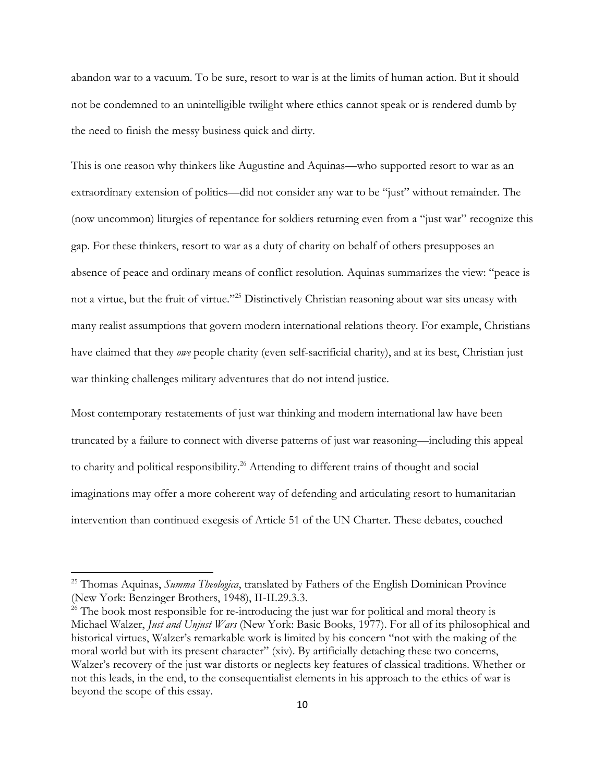abandon war to a vacuum. To be sure, resort to war is at the limits of human action. But it should not be condemned to an unintelligible twilight where ethics cannot speak or is rendered dumb by the need to finish the messy business quick and dirty.

This is one reason why thinkers like Augustine and Aquinas—who supported resort to war as an extraordinary extension of politics—did not consider any war to be "just" without remainder. The (now uncommon) liturgies of repentance for soldiers returning even from a "just war" recognize this gap. For these thinkers, resort to war as a duty of charity on behalf of others presupposes an absence of peace and ordinary means of conflict resolution. Aquinas summarizes the view: "peace is not a virtue, but the fruit of virtue."<sup>25</sup> Distinctively Christian reasoning about war sits uneasy with many realist assumptions that govern modern international relations theory. For example, Christians have claimed that they *owe* people charity (even self-sacrificial charity), and at its best, Christian just war thinking challenges military adventures that do not intend justice.

Most contemporary restatements of just war thinking and modern international law have been truncated by a failure to connect with diverse patterns of just war reasoning—including this appeal to charity and political responsibility.<sup>26</sup> Attending to different trains of thought and social imaginations may offer a more coherent way of defending and articulating resort to humanitarian intervention than continued exegesis of Article 51 of the UN Charter. These debates, couched

<sup>25</sup> Thomas Aquinas, *Summa Theologica*, translated by Fathers of the English Dominican Province (New York: Benzinger Brothers, 1948), II-II.29.3.3.

 $26$  The book most responsible for re-introducing the just war for political and moral theory is Michael Walzer, *Just and Unjust Wars* (New York: Basic Books, 1977). For all of its philosophical and historical virtues, Walzer's remarkable work is limited by his concern "not with the making of the moral world but with its present character" (xiv). By artificially detaching these two concerns, Walzer's recovery of the just war distorts or neglects key features of classical traditions. Whether or not this leads, in the end, to the consequentialist elements in his approach to the ethics of war is beyond the scope of this essay.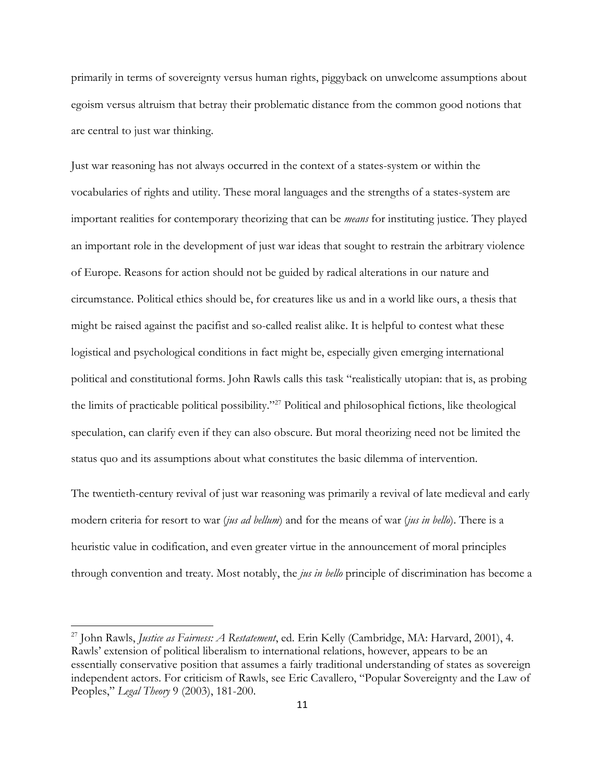primarily in terms of sovereignty versus human rights, piggyback on unwelcome assumptions about egoism versus altruism that betray their problematic distance from the common good notions that are central to just war thinking.

Just war reasoning has not always occurred in the context of a states-system or within the vocabularies of rights and utility. These moral languages and the strengths of a states-system are important realities for contemporary theorizing that can be *means* for instituting justice. They played an important role in the development of just war ideas that sought to restrain the arbitrary violence of Europe. Reasons for action should not be guided by radical alterations in our nature and circumstance. Political ethics should be, for creatures like us and in a world like ours, a thesis that might be raised against the pacifist and so-called realist alike. It is helpful to contest what these logistical and psychological conditions in fact might be, especially given emerging international political and constitutional forms. John Rawls calls this task "realistically utopian: that is, as probing the limits of practicable political possibility."<sup>27</sup> Political and philosophical fictions, like theological speculation, can clarify even if they can also obscure. But moral theorizing need not be limited the status quo and its assumptions about what constitutes the basic dilemma of intervention.

The twentieth-century revival of just war reasoning was primarily a revival of late medieval and early modern criteria for resort to war (*jus ad bellum*) and for the means of war (*jus in bello*). There is a heuristic value in codification, and even greater virtue in the announcement of moral principles through convention and treaty. Most notably, the *jus in bello* principle of discrimination has become a

<sup>27</sup> John Rawls, *Justice as Fairness: A Restatement*, ed. Erin Kelly (Cambridge, MA: Harvard, 2001), 4. Rawls' extension of political liberalism to international relations, however, appears to be an essentially conservative position that assumes a fairly traditional understanding of states as sovereign independent actors. For criticism of Rawls, see Eric Cavallero, "Popular Sovereignty and the Law of Peoples," *Legal Theory* 9 (2003), 181-200.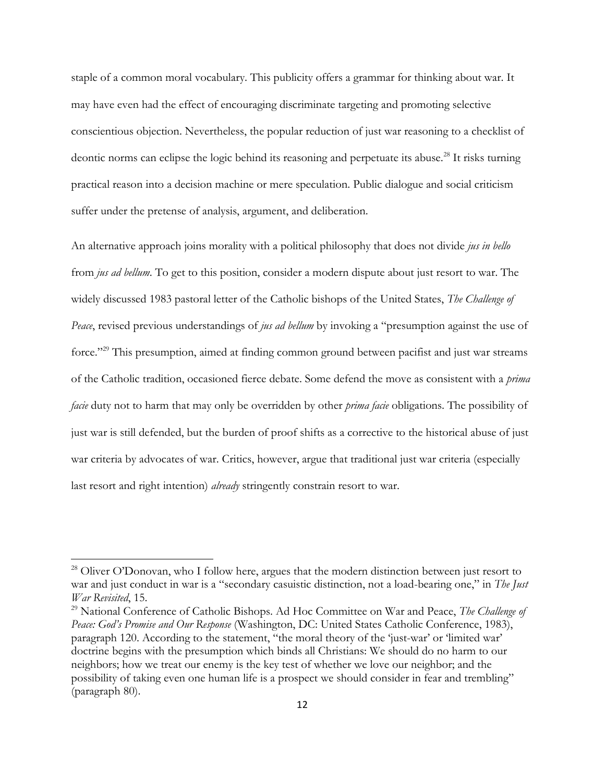staple of a common moral vocabulary. This publicity offers a grammar for thinking about war. It may have even had the effect of encouraging discriminate targeting and promoting selective conscientious objection. Nevertheless, the popular reduction of just war reasoning to a checklist of deontic norms can eclipse the logic behind its reasoning and perpetuate its abuse.<sup>28</sup> It risks turning practical reason into a decision machine or mere speculation. Public dialogue and social criticism suffer under the pretense of analysis, argument, and deliberation.

An alternative approach joins morality with a political philosophy that does not divide *jus in bello* from *jus ad bellum*. To get to this position, consider a modern dispute about just resort to war. The widely discussed 1983 pastoral letter of the Catholic bishops of the United States, *The Challenge of Peace*, revised previous understandings of *jus ad bellum* by invoking a "presumption against the use of force."<sup>29</sup> This presumption, aimed at finding common ground between pacifist and just war streams of the Catholic tradition, occasioned fierce debate. Some defend the move as consistent with a *prima facie* duty not to harm that may only be overridden by other *prima facie* obligations. The possibility of just war is still defended, but the burden of proof shifts as a corrective to the historical abuse of just war criteria by advocates of war. Critics, however, argue that traditional just war criteria (especially last resort and right intention) *already* stringently constrain resort to war.

<sup>&</sup>lt;sup>28</sup> Oliver O'Donovan, who I follow here, argues that the modern distinction between just resort to war and just conduct in war is a "secondary casuistic distinction, not a load-bearing one," in *The Just War Revisited*, 15.

<sup>29</sup> National Conference of Catholic Bishops. Ad Hoc Committee on War and Peace, *The Challenge of Peace: God's Promise and Our Response* (Washington, DC: United States Catholic Conference, 1983), paragraph 120. According to the statement, "the moral theory of the 'just-war' or 'limited war' doctrine begins with the presumption which binds all Christians: We should do no harm to our neighbors; how we treat our enemy is the key test of whether we love our neighbor; and the possibility of taking even one human life is a prospect we should consider in fear and trembling" (paragraph 80).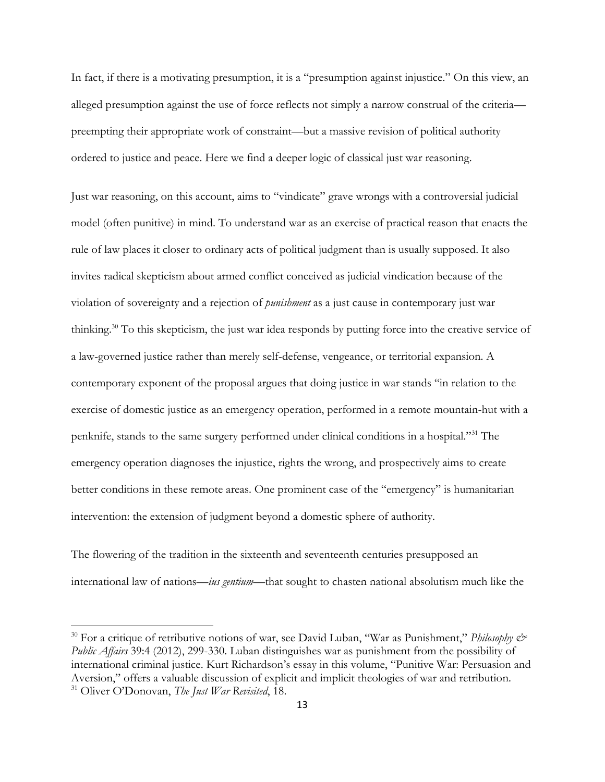In fact, if there is a motivating presumption, it is a "presumption against injustice." On this view, an alleged presumption against the use of force reflects not simply a narrow construal of the criteria preempting their appropriate work of constraint—but a massive revision of political authority ordered to justice and peace. Here we find a deeper logic of classical just war reasoning.

Just war reasoning, on this account, aims to "vindicate" grave wrongs with a controversial judicial model (often punitive) in mind. To understand war as an exercise of practical reason that enacts the rule of law places it closer to ordinary acts of political judgment than is usually supposed. It also invites radical skepticism about armed conflict conceived as judicial vindication because of the violation of sovereignty and a rejection of *punishment* as a just cause in contemporary just war thinking.<sup>30</sup> To this skepticism, the just war idea responds by putting force into the creative service of a law-governed justice rather than merely self-defense, vengeance, or territorial expansion. A contemporary exponent of the proposal argues that doing justice in war stands "in relation to the exercise of domestic justice as an emergency operation, performed in a remote mountain-hut with a penknife, stands to the same surgery performed under clinical conditions in a hospital."<sup>31</sup> The emergency operation diagnoses the injustice, rights the wrong, and prospectively aims to create better conditions in these remote areas. One prominent case of the "emergency" is humanitarian intervention: the extension of judgment beyond a domestic sphere of authority.

The flowering of the tradition in the sixteenth and seventeenth centuries presupposed an international law of nations—*ius gentium*—that sought to chasten national absolutism much like the

<sup>&</sup>lt;sup>30</sup> For a critique of retributive notions of war, see David Luban, "War as Punishment," *Philosophy & Public Affairs* 39:4 (2012), 299-330. Luban distinguishes war as punishment from the possibility of international criminal justice. Kurt Richardson's essay in this volume, "Punitive War: Persuasion and Aversion," offers a valuable discussion of explicit and implicit theologies of war and retribution. <sup>31</sup> Oliver O'Donovan, *The Just War Revisited*, 18.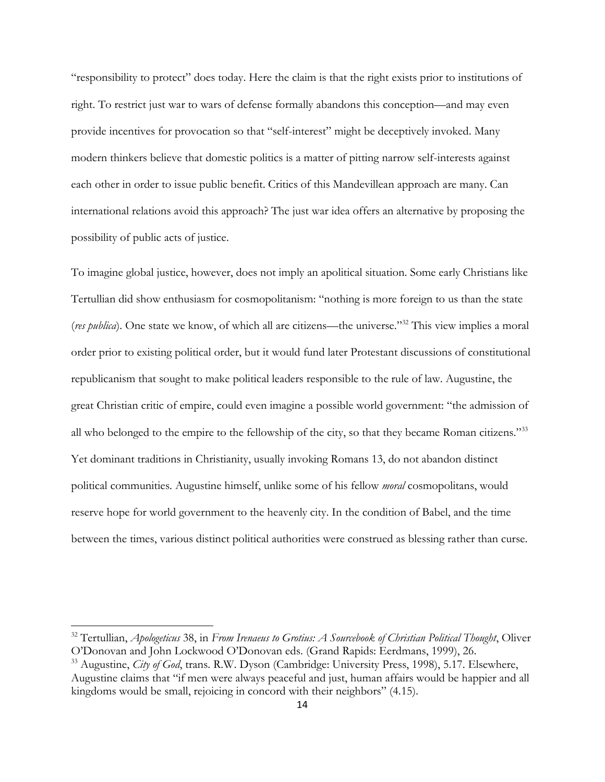"responsibility to protect" does today. Here the claim is that the right exists prior to institutions of right. To restrict just war to wars of defense formally abandons this conception—and may even provide incentives for provocation so that "self-interest" might be deceptively invoked. Many modern thinkers believe that domestic politics is a matter of pitting narrow self-interests against each other in order to issue public benefit. Critics of this Mandevillean approach are many. Can international relations avoid this approach? The just war idea offers an alternative by proposing the possibility of public acts of justice.

To imagine global justice, however, does not imply an apolitical situation. Some early Christians like Tertullian did show enthusiasm for cosmopolitanism: "nothing is more foreign to us than the state (*res publica*). One state we know, of which all are citizens—the universe."<sup>32</sup> This view implies a moral order prior to existing political order, but it would fund later Protestant discussions of constitutional republicanism that sought to make political leaders responsible to the rule of law. Augustine, the great Christian critic of empire, could even imagine a possible world government: "the admission of all who belonged to the empire to the fellowship of the city, so that they became Roman citizens."<sup>33</sup> Yet dominant traditions in Christianity, usually invoking Romans 13, do not abandon distinct political communities. Augustine himself, unlike some of his fellow *moral* cosmopolitans, would reserve hope for world government to the heavenly city. In the condition of Babel, and the time between the times, various distinct political authorities were construed as blessing rather than curse.

<sup>32</sup> Tertullian, *Apologeticus* 38, in *From Irenaeus to Grotius: A Sourcebook of Christian Political Thought*, Oliver O'Donovan and John Lockwood O'Donovan eds. (Grand Rapids: Eerdmans, 1999), 26.

<sup>33</sup> Augustine, *City of God*, trans. R.W. Dyson (Cambridge: University Press, 1998), 5.17. Elsewhere, Augustine claims that "if men were always peaceful and just, human affairs would be happier and all kingdoms would be small, rejoicing in concord with their neighbors" (4.15).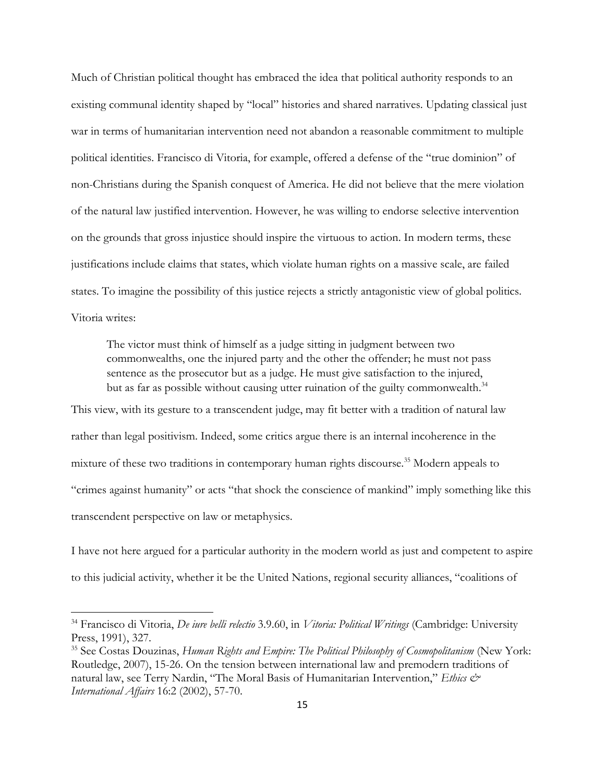Much of Christian political thought has embraced the idea that political authority responds to an existing communal identity shaped by "local" histories and shared narratives. Updating classical just war in terms of humanitarian intervention need not abandon a reasonable commitment to multiple political identities. Francisco di Vitoria, for example, offered a defense of the "true dominion" of non-Christians during the Spanish conquest of America. He did not believe that the mere violation of the natural law justified intervention. However, he was willing to endorse selective intervention on the grounds that gross injustice should inspire the virtuous to action. In modern terms, these justifications include claims that states, which violate human rights on a massive scale, are failed states. To imagine the possibility of this justice rejects a strictly antagonistic view of global politics. Vitoria writes:

The victor must think of himself as a judge sitting in judgment between two commonwealths, one the injured party and the other the offender; he must not pass sentence as the prosecutor but as a judge. He must give satisfaction to the injured, but as far as possible without causing utter ruination of the guilty commonwealth.<sup>34</sup>

This view, with its gesture to a transcendent judge, may fit better with a tradition of natural law rather than legal positivism. Indeed, some critics argue there is an internal incoherence in the mixture of these two traditions in contemporary human rights discourse.<sup>35</sup> Modern appeals to "crimes against humanity" or acts "that shock the conscience of mankind" imply something like this transcendent perspective on law or metaphysics.

I have not here argued for a particular authority in the modern world as just and competent to aspire to this judicial activity, whether it be the United Nations, regional security alliances, "coalitions of

<sup>34</sup> Francisco di Vitoria, *De iure belli relectio* 3.9.60, in *Vitoria: Political Writings* (Cambridge: University Press, 1991), 327.

<sup>35</sup> See Costas Douzinas, *Human Rights and Empire: The Political Philosophy of Cosmopolitanism* (New York: Routledge, 2007), 15-26. On the tension between international law and premodern traditions of natural law, see Terry Nardin, "The Moral Basis of Humanitarian Intervention," *Ethics & International Affairs* 16:2 (2002), 57-70.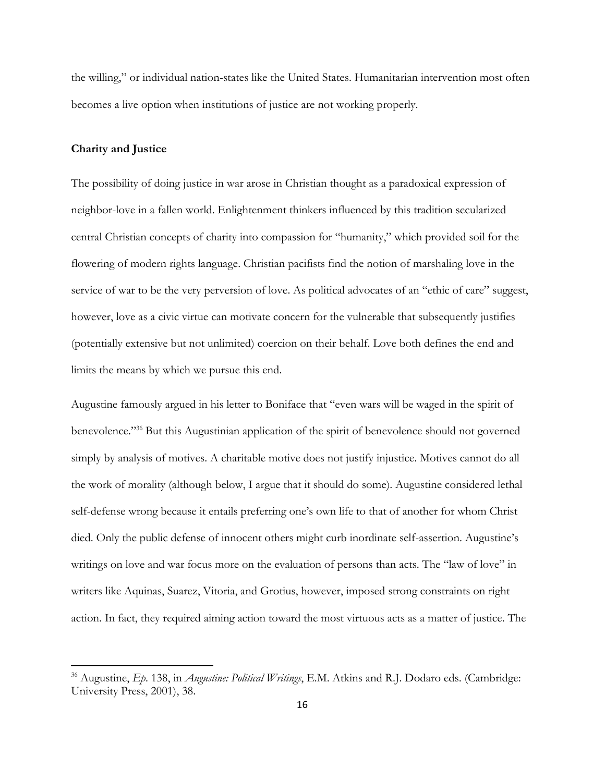the willing," or individual nation-states like the United States. Humanitarian intervention most often becomes a live option when institutions of justice are not working properly.

#### **Charity and Justice**

 $\overline{\phantom{a}}$ 

The possibility of doing justice in war arose in Christian thought as a paradoxical expression of neighbor-love in a fallen world. Enlightenment thinkers influenced by this tradition secularized central Christian concepts of charity into compassion for "humanity," which provided soil for the flowering of modern rights language. Christian pacifists find the notion of marshaling love in the service of war to be the very perversion of love. As political advocates of an "ethic of care" suggest, however, love as a civic virtue can motivate concern for the vulnerable that subsequently justifies (potentially extensive but not unlimited) coercion on their behalf. Love both defines the end and limits the means by which we pursue this end.

Augustine famously argued in his letter to Boniface that "even wars will be waged in the spirit of benevolence."<sup>36</sup> But this Augustinian application of the spirit of benevolence should not governed simply by analysis of motives. A charitable motive does not justify injustice. Motives cannot do all the work of morality (although below, I argue that it should do some). Augustine considered lethal self-defense wrong because it entails preferring one's own life to that of another for whom Christ died. Only the public defense of innocent others might curb inordinate self-assertion. Augustine's writings on love and war focus more on the evaluation of persons than acts. The "law of love" in writers like Aquinas, Suarez, Vitoria, and Grotius, however, imposed strong constraints on right action. In fact, they required aiming action toward the most virtuous acts as a matter of justice. The

<sup>36</sup> Augustine, *Ep*. 138, in *Augustine: Political Writings*, E.M. Atkins and R.J. Dodaro eds. (Cambridge: University Press, 2001), 38.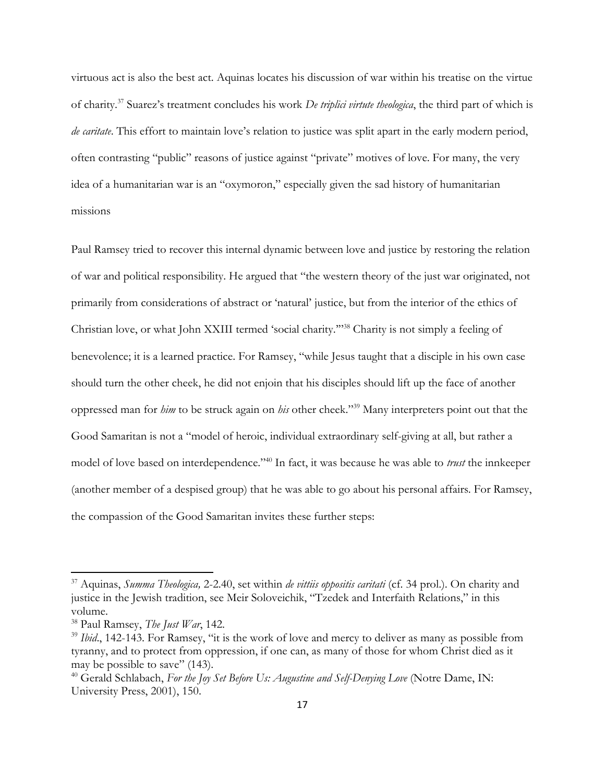virtuous act is also the best act. Aquinas locates his discussion of war within his treatise on the virtue of charity.<sup>37</sup> Suarez's treatment concludes his work *De triplici virtute theologica*, the third part of which is *de caritate*. This effort to maintain love's relation to justice was split apart in the early modern period, often contrasting "public" reasons of justice against "private" motives of love. For many, the very idea of a humanitarian war is an "oxymoron," especially given the sad history of humanitarian missions

Paul Ramsey tried to recover this internal dynamic between love and justice by restoring the relation of war and political responsibility. He argued that "the western theory of the just war originated, not primarily from considerations of abstract or 'natural' justice, but from the interior of the ethics of Christian love, or what John XXIII termed 'social charity.'"<sup>38</sup> Charity is not simply a feeling of benevolence; it is a learned practice. For Ramsey, "while Jesus taught that a disciple in his own case should turn the other cheek, he did not enjoin that his disciples should lift up the face of another oppressed man for *him* to be struck again on *his* other cheek."<sup>39</sup> Many interpreters point out that the Good Samaritan is not a "model of heroic, individual extraordinary self-giving at all, but rather a model of love based on interdependence."<sup>40</sup> In fact, it was because he was able to *trust* the innkeeper (another member of a despised group) that he was able to go about his personal affairs. For Ramsey, the compassion of the Good Samaritan invites these further steps:

<sup>37</sup> Aquinas, *Summa Theologica,* 2-2.40, set within *de vittiis oppositis caritati* (cf. 34 prol.). On charity and justice in the Jewish tradition, see Meir Soloveichik, "Tzedek and Interfaith Relations," in this volume.

<sup>38</sup> Paul Ramsey, *The Just War*, 142.

<sup>&</sup>lt;sup>39</sup> *Ibid.*, 142-143. For Ramsey, "it is the work of love and mercy to deliver as many as possible from tyranny, and to protect from oppression, if one can, as many of those for whom Christ died as it may be possible to save" (143).

<sup>&</sup>lt;sup>40</sup> Gerald Schlabach, *For the Joy Set Before Us: Augustine and Self-Denying Love* (Notre Dame, IN: University Press, 2001), 150.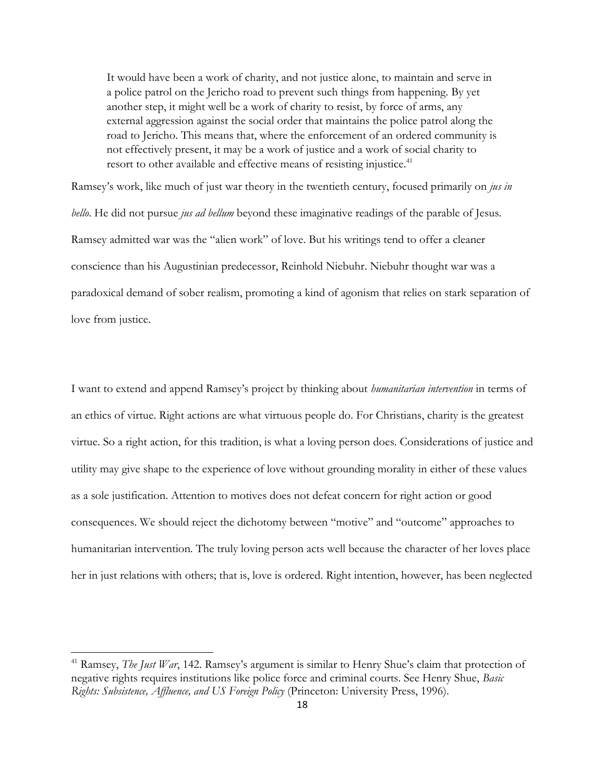It would have been a work of charity, and not justice alone, to maintain and serve in a police patrol on the Jericho road to prevent such things from happening. By yet another step, it might well be a work of charity to resist, by force of arms, any external aggression against the social order that maintains the police patrol along the road to Jericho. This means that, where the enforcement of an ordered community is not effectively present, it may be a work of justice and a work of social charity to resort to other available and effective means of resisting injustice.<sup>41</sup>

Ramsey's work, like much of just war theory in the twentieth century, focused primarily on *jus in bello*. He did not pursue *jus ad bellum* beyond these imaginative readings of the parable of Jesus. Ramsey admitted war was the "alien work" of love. But his writings tend to offer a cleaner conscience than his Augustinian predecessor, Reinhold Niebuhr. Niebuhr thought war was a paradoxical demand of sober realism, promoting a kind of agonism that relies on stark separation of love from justice.

I want to extend and append Ramsey's project by thinking about *humanitarian intervention* in terms of an ethics of virtue. Right actions are what virtuous people do. For Christians, charity is the greatest virtue. So a right action, for this tradition, is what a loving person does. Considerations of justice and utility may give shape to the experience of love without grounding morality in either of these values as a sole justification. Attention to motives does not defeat concern for right action or good consequences. We should reject the dichotomy between "motive" and "outcome" approaches to humanitarian intervention. The truly loving person acts well because the character of her loves place her in just relations with others; that is, love is ordered. Right intention, however, has been neglected

<sup>41</sup> Ramsey, *The Just War*, 142. Ramsey's argument is similar to Henry Shue's claim that protection of negative rights requires institutions like police force and criminal courts. See Henry Shue, *Basic Rights: Subsistence, Affluence, and US Foreign Policy* (Princeton: University Press, 1996).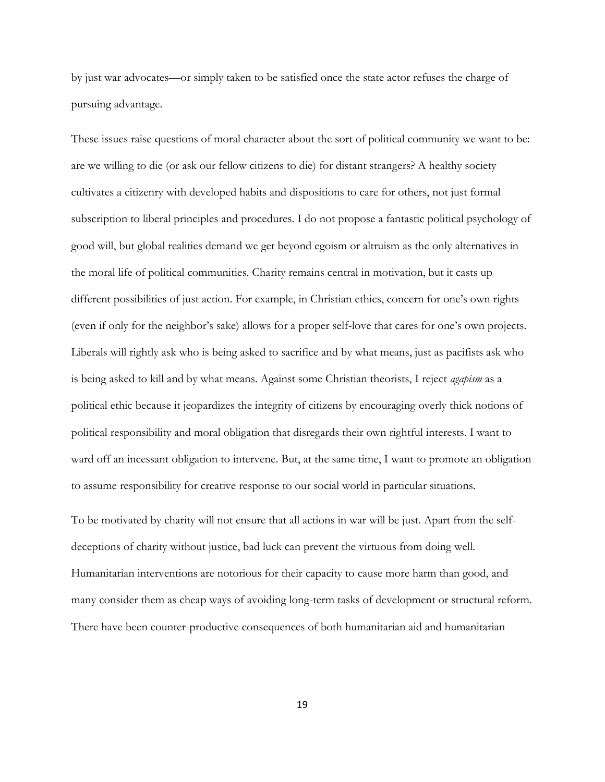by just war advocates—or simply taken to be satisfied once the state actor refuses the charge of pursuing advantage.

These issues raise questions of moral character about the sort of political community we want to be: are we willing to die (or ask our fellow citizens to die) for distant strangers? A healthy society cultivates a citizenry with developed habits and dispositions to care for others, not just formal subscription to liberal principles and procedures. I do not propose a fantastic political psychology of good will, but global realities demand we get beyond egoism or altruism as the only alternatives in the moral life of political communities. Charity remains central in motivation, but it casts up different possibilities of just action. For example, in Christian ethics, concern for one's own rights (even if only for the neighbor's sake) allows for a proper self-love that cares for one's own projects. Liberals will rightly ask who is being asked to sacrifice and by what means, just as pacifists ask who is being asked to kill and by what means. Against some Christian theorists, I reject *agapism* as a political ethic because it jeopardizes the integrity of citizens by encouraging overly thick notions of political responsibility and moral obligation that disregards their own rightful interests. I want to ward off an incessant obligation to intervene. But, at the same time, I want to promote an obligation to assume responsibility for creative response to our social world in particular situations.

To be motivated by charity will not ensure that all actions in war will be just. Apart from the selfdeceptions of charity without justice, bad luck can prevent the virtuous from doing well. Humanitarian interventions are notorious for their capacity to cause more harm than good, and many consider them as cheap ways of avoiding long-term tasks of development or structural reform. There have been counter-productive consequences of both humanitarian aid and humanitarian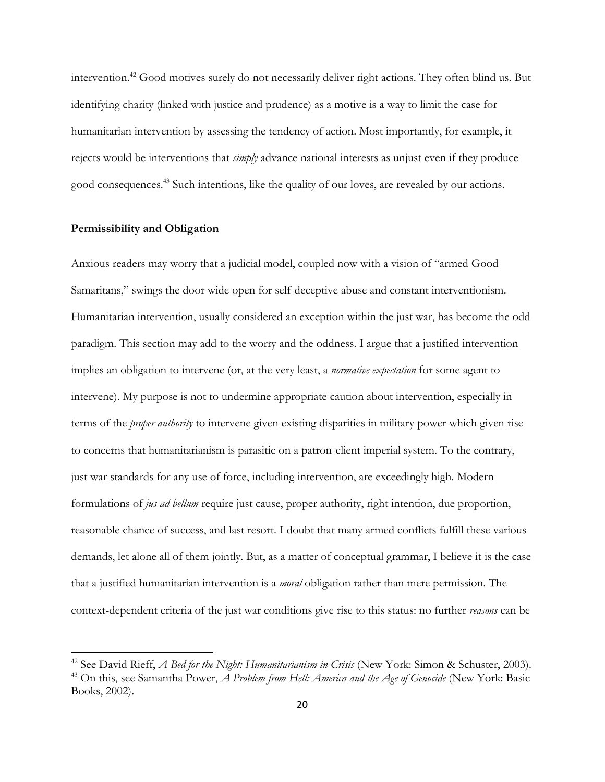intervention.<sup>42</sup> Good motives surely do not necessarily deliver right actions. They often blind us. But identifying charity (linked with justice and prudence) as a motive is a way to limit the case for humanitarian intervention by assessing the tendency of action. Most importantly, for example, it rejects would be interventions that *simply* advance national interests as unjust even if they produce good consequences.<sup>43</sup> Such intentions, like the quality of our loves, are revealed by our actions.

#### **Permissibility and Obligation**

 $\overline{\phantom{a}}$ 

Anxious readers may worry that a judicial model, coupled now with a vision of "armed Good Samaritans," swings the door wide open for self-deceptive abuse and constant interventionism. Humanitarian intervention, usually considered an exception within the just war, has become the odd paradigm. This section may add to the worry and the oddness. I argue that a justified intervention implies an obligation to intervene (or, at the very least, a *normative expectation* for some agent to intervene). My purpose is not to undermine appropriate caution about intervention, especially in terms of the *proper authority* to intervene given existing disparities in military power which given rise to concerns that humanitarianism is parasitic on a patron-client imperial system. To the contrary, just war standards for any use of force, including intervention, are exceedingly high. Modern formulations of *jus ad bellum* require just cause, proper authority, right intention, due proportion, reasonable chance of success, and last resort. I doubt that many armed conflicts fulfill these various demands, let alone all of them jointly. But, as a matter of conceptual grammar, I believe it is the case that a justified humanitarian intervention is a *moral* obligation rather than mere permission. The context-dependent criteria of the just war conditions give rise to this status: no further *reasons* can be

<sup>42</sup> See David Rieff, *A Bed for the Night: Humanitarianism in Crisis* (New York: Simon & Schuster, 2003). <sup>43</sup> On this, see Samantha Power, *A Problem from Hell: America and the Age of Genocide* (New York: Basic Books, 2002).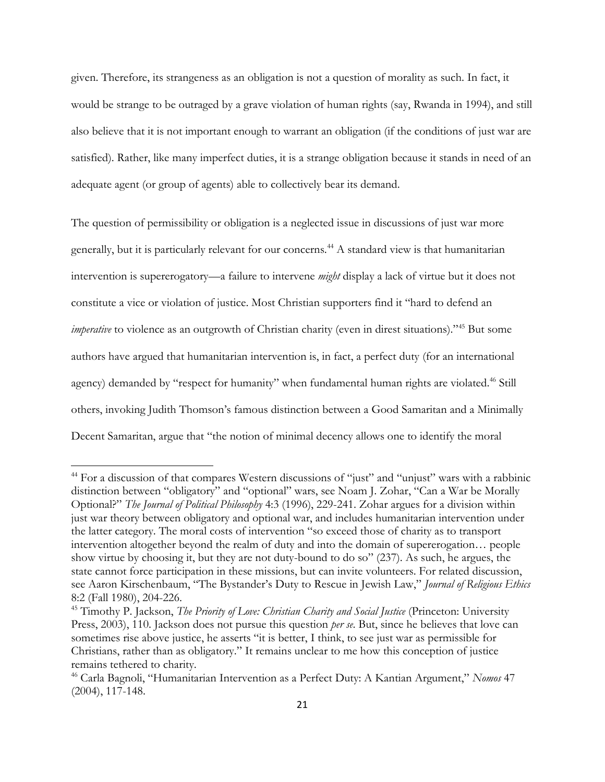given. Therefore, its strangeness as an obligation is not a question of morality as such. In fact, it would be strange to be outraged by a grave violation of human rights (say, Rwanda in 1994), and still also believe that it is not important enough to warrant an obligation (if the conditions of just war are satisfied). Rather, like many imperfect duties, it is a strange obligation because it stands in need of an adequate agent (or group of agents) able to collectively bear its demand.

The question of permissibility or obligation is a neglected issue in discussions of just war more generally, but it is particularly relevant for our concerns.<sup>44</sup> A standard view is that humanitarian intervention is supererogatory—a failure to intervene *might* display a lack of virtue but it does not constitute a vice or violation of justice. Most Christian supporters find it "hard to defend an *imperative* to violence as an outgrowth of Christian charity (even in direst situations)."<sup>45</sup> But some authors have argued that humanitarian intervention is, in fact, a perfect duty (for an international agency) demanded by "respect for humanity" when fundamental human rights are violated.<sup>46</sup> Still others, invoking Judith Thomson's famous distinction between a Good Samaritan and a Minimally Decent Samaritan, argue that "the notion of minimal decency allows one to identify the moral

<sup>&</sup>lt;sup>44</sup> For a discussion of that compares Western discussions of "just" and "unjust" wars with a rabbinic distinction between "obligatory" and "optional" wars, see Noam J. Zohar, "Can a War be Morally Optional?" *The Journal of Political Philosophy* 4:3 (1996), 229-241. Zohar argues for a division within just war theory between obligatory and optional war, and includes humanitarian intervention under the latter category. The moral costs of intervention "so exceed those of charity as to transport intervention altogether beyond the realm of duty and into the domain of supererogation… people show virtue by choosing it, but they are not duty-bound to do so" (237). As such, he argues, the state cannot force participation in these missions, but can invite volunteers. For related discussion, see Aaron Kirschenbaum, "The Bystander's Duty to Rescue in Jewish Law," *Journal of Religious Ethics* 8:2 (Fall 1980), 204-226.

<sup>45</sup> Timothy P. Jackson, *The Priority of Love: Christian Charity and Social Justice* (Princeton: University Press, 2003), 110. Jackson does not pursue this question *per se*. But, since he believes that love can sometimes rise above justice, he asserts "it is better, I think, to see just war as permissible for Christians, rather than as obligatory." It remains unclear to me how this conception of justice remains tethered to charity.

<sup>46</sup> Carla Bagnoli, "Humanitarian Intervention as a Perfect Duty: A Kantian Argument," *Nomos* 47 (2004), 117-148.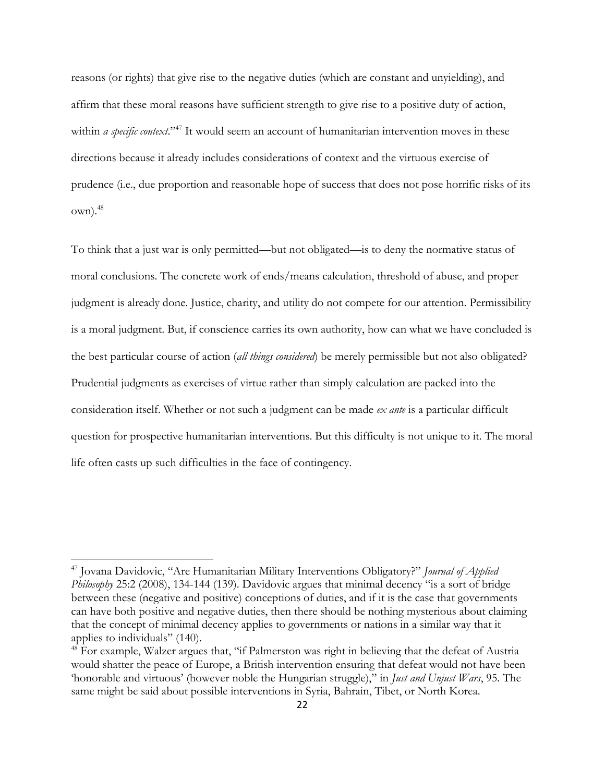reasons (or rights) that give rise to the negative duties (which are constant and unyielding), and affirm that these moral reasons have sufficient strength to give rise to a positive duty of action, within *a specific context*."<sup>47</sup> It would seem an account of humanitarian intervention moves in these directions because it already includes considerations of context and the virtuous exercise of prudence (i.e., due proportion and reasonable hope of success that does not pose horrific risks of its  $own).<sup>48</sup>$ 

To think that a just war is only permitted—but not obligated—is to deny the normative status of moral conclusions. The concrete work of ends/means calculation, threshold of abuse, and proper judgment is already done. Justice, charity, and utility do not compete for our attention. Permissibility is a moral judgment. But, if conscience carries its own authority, how can what we have concluded is the best particular course of action (*all things considered*) be merely permissible but not also obligated? Prudential judgments as exercises of virtue rather than simply calculation are packed into the consideration itself. Whether or not such a judgment can be made *ex ante* is a particular difficult question for prospective humanitarian interventions. But this difficulty is not unique to it. The moral life often casts up such difficulties in the face of contingency.

<sup>47</sup> Jovana Davidovic, "Are Humanitarian Military Interventions Obligatory?" *Journal of Applied Philosophy* 25:2 (2008), 134-144 (139). Davidovic argues that minimal decency "is a sort of bridge between these (negative and positive) conceptions of duties, and if it is the case that governments can have both positive and negative duties, then there should be nothing mysterious about claiming that the concept of minimal decency applies to governments or nations in a similar way that it applies to individuals" (140).

<sup>&</sup>lt;sup>48</sup> For example, Walzer argues that, "if Palmerston was right in believing that the defeat of Austria would shatter the peace of Europe, a British intervention ensuring that defeat would not have been 'honorable and virtuous' (however noble the Hungarian struggle)," in *Just and Unjust Wars*, 95. The same might be said about possible interventions in Syria, Bahrain, Tibet, or North Korea.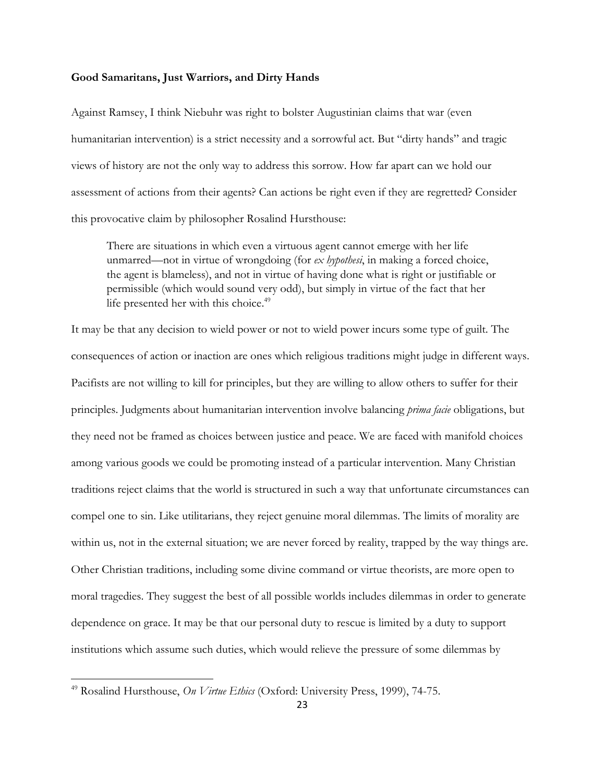#### **Good Samaritans, Just Warriors, and Dirty Hands**

Against Ramsey, I think Niebuhr was right to bolster Augustinian claims that war (even humanitarian intervention) is a strict necessity and a sorrowful act. But "dirty hands" and tragic views of history are not the only way to address this sorrow. How far apart can we hold our assessment of actions from their agents? Can actions be right even if they are regretted? Consider this provocative claim by philosopher Rosalind Hursthouse:

There are situations in which even a virtuous agent cannot emerge with her life unmarred—not in virtue of wrongdoing (for *ex hypothesi*, in making a forced choice, the agent is blameless), and not in virtue of having done what is right or justifiable or permissible (which would sound very odd), but simply in virtue of the fact that her life presented her with this choice.<sup>49</sup>

It may be that any decision to wield power or not to wield power incurs some type of guilt. The consequences of action or inaction are ones which religious traditions might judge in different ways. Pacifists are not willing to kill for principles, but they are willing to allow others to suffer for their principles. Judgments about humanitarian intervention involve balancing *prima facie* obligations, but they need not be framed as choices between justice and peace. We are faced with manifold choices among various goods we could be promoting instead of a particular intervention. Many Christian traditions reject claims that the world is structured in such a way that unfortunate circumstances can compel one to sin. Like utilitarians, they reject genuine moral dilemmas. The limits of morality are within us, not in the external situation; we are never forced by reality, trapped by the way things are. Other Christian traditions, including some divine command or virtue theorists, are more open to moral tragedies. They suggest the best of all possible worlds includes dilemmas in order to generate dependence on grace. It may be that our personal duty to rescue is limited by a duty to support institutions which assume such duties, which would relieve the pressure of some dilemmas by

<sup>49</sup> Rosalind Hursthouse, *On Virtue Ethics* (Oxford: University Press, 1999), 74-75.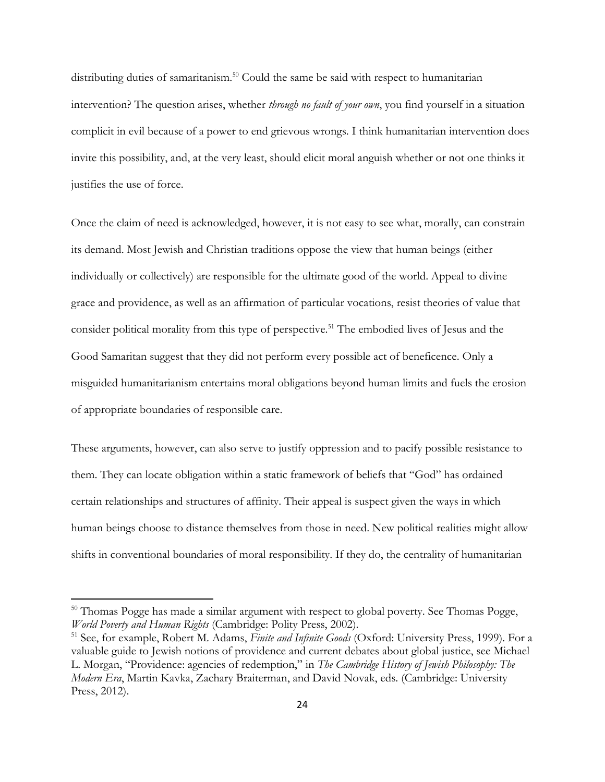distributing duties of samaritanism.<sup>50</sup> Could the same be said with respect to humanitarian intervention? The question arises, whether *through no fault of your own*, you find yourself in a situation complicit in evil because of a power to end grievous wrongs. I think humanitarian intervention does invite this possibility, and, at the very least, should elicit moral anguish whether or not one thinks it justifies the use of force.

Once the claim of need is acknowledged, however, it is not easy to see what, morally, can constrain its demand. Most Jewish and Christian traditions oppose the view that human beings (either individually or collectively) are responsible for the ultimate good of the world. Appeal to divine grace and providence, as well as an affirmation of particular vocations, resist theories of value that consider political morality from this type of perspective.<sup>51</sup> The embodied lives of Jesus and the Good Samaritan suggest that they did not perform every possible act of beneficence. Only a misguided humanitarianism entertains moral obligations beyond human limits and fuels the erosion of appropriate boundaries of responsible care.

These arguments, however, can also serve to justify oppression and to pacify possible resistance to them. They can locate obligation within a static framework of beliefs that "God" has ordained certain relationships and structures of affinity. Their appeal is suspect given the ways in which human beings choose to distance themselves from those in need. New political realities might allow shifts in conventional boundaries of moral responsibility. If they do, the centrality of humanitarian

<sup>&</sup>lt;sup>50</sup> Thomas Pogge has made a similar argument with respect to global poverty. See Thomas Pogge, *World Poverty and Human Rights* (Cambridge: Polity Press, 2002).

<sup>51</sup> See, for example, Robert M. Adams, *Finite and Infinite Goods* (Oxford: University Press, 1999). For a valuable guide to Jewish notions of providence and current debates about global justice, see Michael L. Morgan, "Providence: agencies of redemption," in *The Cambridge History of Jewish Philosophy: The Modern Era*, Martin Kavka, Zachary Braiterman, and David Novak, eds. (Cambridge: University Press, 2012).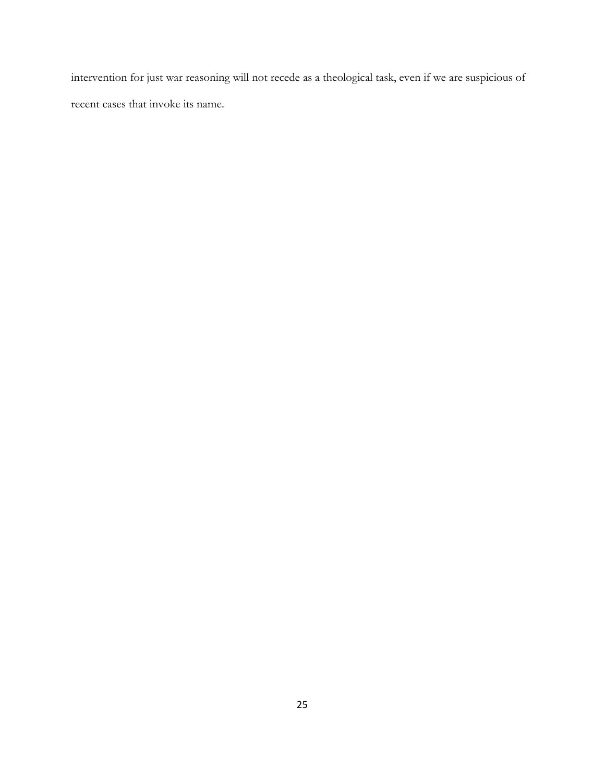intervention for just war reasoning will not recede as a theological task, even if we are suspicious of recent cases that invoke its name.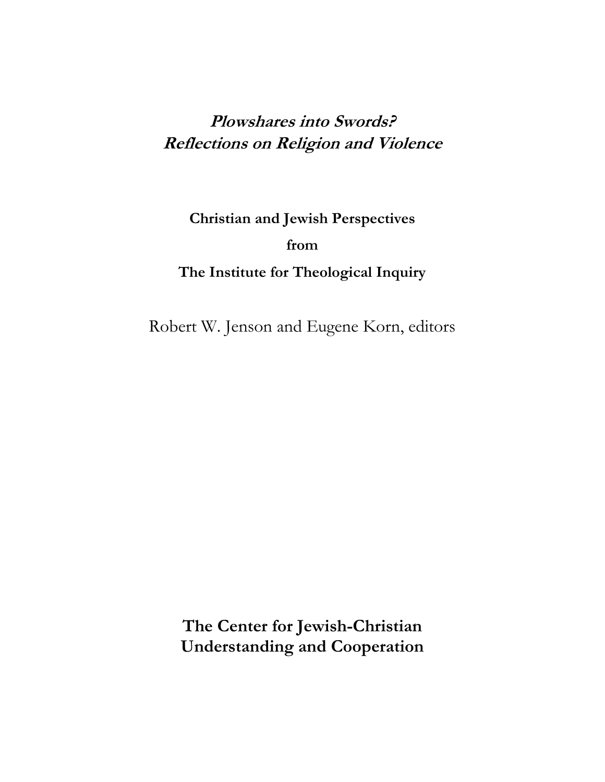## **Plowshares into Swords? Reflections on Religion and Violence**

**Christian and Jewish Perspectives from The Institute for Theological Inquiry**

Robert W. Jenson and Eugene Korn, editors

**The Center for Jewish-Christian Understanding and Cooperation**